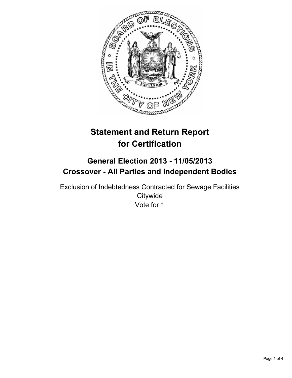

# **Statement and Return Report for Certification**

## **General Election 2013 - 11/05/2013 Crossover - All Parties and Independent Bodies**

Exclusion of Indebtedness Contracted for Sewage Facilities **Citywide** Vote for 1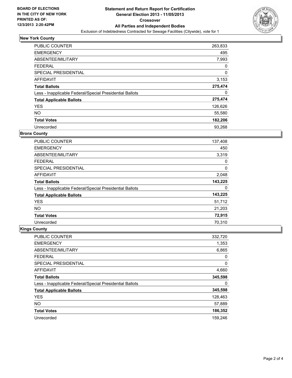

## **New York County**

| <b>PUBLIC COUNTER</b>                                    | 263,833 |
|----------------------------------------------------------|---------|
| <b>EMERGENCY</b>                                         | 495     |
| ABSENTEE/MILITARY                                        | 7,993   |
| <b>FEDERAL</b>                                           | 0       |
| <b>SPECIAL PRESIDENTIAL</b>                              | 0       |
| <b>AFFIDAVIT</b>                                         | 3,153   |
| <b>Total Ballots</b>                                     | 275,474 |
| Less - Inapplicable Federal/Special Presidential Ballots | 0       |
| <b>Total Applicable Ballots</b>                          | 275,474 |
| <b>YES</b>                                               | 126,626 |
| NO.                                                      | 55,580  |
| <b>Total Votes</b>                                       | 182,206 |
| Unrecorded                                               | 93,268  |

#### **Bronx County**

| <b>PUBLIC COUNTER</b>                                    | 137,408 |
|----------------------------------------------------------|---------|
| <b>EMERGENCY</b>                                         | 450     |
| ABSENTEE/MILITARY                                        | 3,319   |
| <b>FEDERAL</b>                                           | 0       |
| SPECIAL PRESIDENTIAL                                     | 0       |
| AFFIDAVIT                                                | 2,048   |
| <b>Total Ballots</b>                                     | 143,225 |
| Less - Inapplicable Federal/Special Presidential Ballots | 0       |
| <b>Total Applicable Ballots</b>                          | 143,225 |
| <b>YES</b>                                               | 51,712  |
| <b>NO</b>                                                | 21,203  |
| <b>Total Votes</b>                                       | 72,915  |
| Unrecorded                                               | 70,310  |

## **Kings County**

| <b>PUBLIC COUNTER</b>                                    | 332,720 |
|----------------------------------------------------------|---------|
| <b>EMERGENCY</b>                                         | 1,353   |
| ABSENTEE/MILITARY                                        | 6,865   |
| <b>FEDERAL</b>                                           | 0       |
| SPECIAL PRESIDENTIAL                                     | 0       |
| AFFIDAVIT                                                | 4,660   |
| <b>Total Ballots</b>                                     | 345,598 |
| Less - Inapplicable Federal/Special Presidential Ballots | 0       |
| <b>Total Applicable Ballots</b>                          | 345,598 |
| <b>YES</b>                                               | 128,463 |
| <b>NO</b>                                                | 57,889  |
| <b>Total Votes</b>                                       | 186,352 |
| Unrecorded                                               | 159.246 |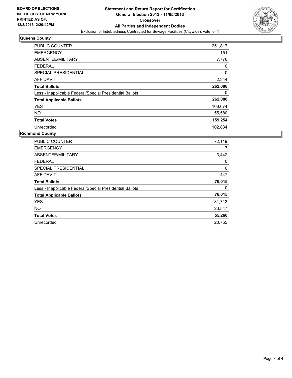

## **Queens County**

| <b>PUBLIC COUNTER</b>                                    | 251,817 |
|----------------------------------------------------------|---------|
| <b>EMERGENCY</b>                                         | 151     |
| ABSENTEE/MILITARY                                        | 7,776   |
| <b>FEDERAL</b>                                           | 0       |
| <b>SPECIAL PRESIDENTIAL</b>                              | 0       |
| <b>AFFIDAVIT</b>                                         | 2,344   |
| <b>Total Ballots</b>                                     | 262,088 |
| Less - Inapplicable Federal/Special Presidential Ballots | 0       |
| <b>Total Applicable Ballots</b>                          | 262,088 |
| <b>YES</b>                                               | 103,674 |
| <b>NO</b>                                                | 55,580  |
| <b>Total Votes</b>                                       | 159,254 |
| Unrecorded                                               | 102.834 |

## **Richmond County**

| <b>PUBLIC COUNTER</b>                                    | 72,119 |
|----------------------------------------------------------|--------|
| <b>EMERGENCY</b>                                         | 7      |
| ABSENTEE/MILITARY                                        | 3,442  |
| <b>FEDERAL</b>                                           | 0      |
| <b>SPECIAL PRESIDENTIAL</b>                              | 0      |
| <b>AFFIDAVIT</b>                                         | 447    |
| <b>Total Ballots</b>                                     | 76,015 |
| Less - Inapplicable Federal/Special Presidential Ballots | 0      |
| <b>Total Applicable Ballots</b>                          | 76,015 |
| <b>YES</b>                                               | 31,713 |
| <b>NO</b>                                                | 23,547 |
| <b>Total Votes</b>                                       | 55,260 |
| Unrecorded                                               | 20.755 |